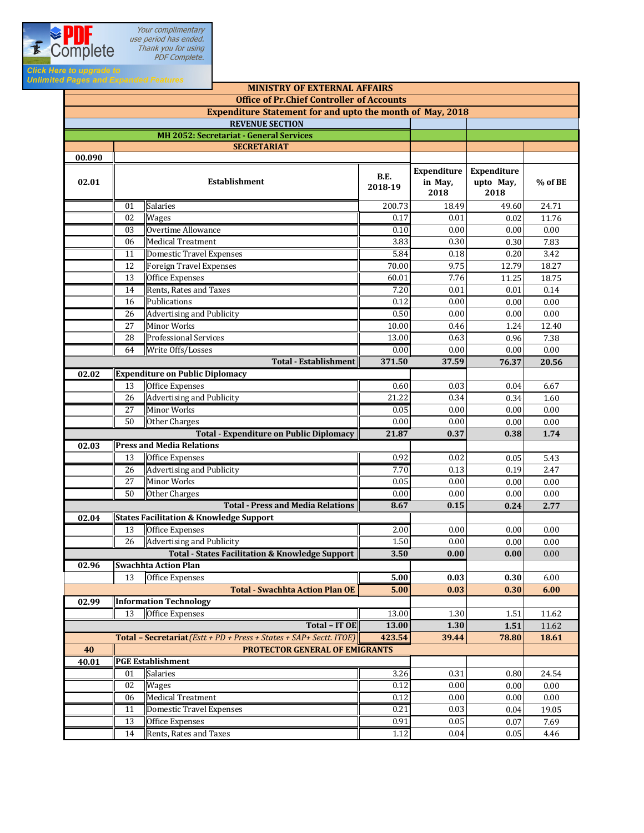

| <b>MINISTRY OF EXTERNAL AFFAIRS</b>                              |                 |                                                                     |                 |                                       |                                         |           |  |  |  |
|------------------------------------------------------------------|-----------------|---------------------------------------------------------------------|-----------------|---------------------------------------|-----------------------------------------|-----------|--|--|--|
| <b>Office of Pr.Chief Controller of Accounts</b>                 |                 |                                                                     |                 |                                       |                                         |           |  |  |  |
| <b>Expenditure Statement for and upto the month of May, 2018</b> |                 |                                                                     |                 |                                       |                                         |           |  |  |  |
| <b>REVENUE SECTION</b>                                           |                 |                                                                     |                 |                                       |                                         |           |  |  |  |
| MH 2052: Secretariat - General Services                          |                 |                                                                     |                 |                                       |                                         |           |  |  |  |
| <b>SECRETARIAT</b><br>00.090                                     |                 |                                                                     |                 |                                       |                                         |           |  |  |  |
| 02.01                                                            |                 | <b>Establishment</b>                                                | B.E.<br>2018-19 | <b>Expenditure</b><br>in May,<br>2018 | <b>Expenditure</b><br>upto May,<br>2018 | $%$ of BE |  |  |  |
|                                                                  | 01              | Salaries                                                            | 200.73          | 18.49                                 | 49.60                                   | 24.71     |  |  |  |
|                                                                  | 02              | <b>Wages</b>                                                        | 0.17            | 0.01                                  | 0.02                                    | 11.76     |  |  |  |
|                                                                  | 03              | Overtime Allowance                                                  | 0.10            | 0.00                                  | 0.00                                    | 0.00      |  |  |  |
|                                                                  | 06              | <b>Medical Treatment</b>                                            | 3.83            | 0.30                                  | 0.30                                    | 7.83      |  |  |  |
|                                                                  | 11              | <b>Domestic Travel Expenses</b>                                     | 5.84            | 0.18                                  | 0.20                                    | 3.42      |  |  |  |
|                                                                  | 12              | <b>Foreign Travel Expenses</b>                                      | 70.00           | 9.75                                  | 12.79                                   | 18.27     |  |  |  |
|                                                                  | 13              | <b>Office Expenses</b>                                              | 60.01           | 7.76                                  | 11.25                                   | 18.75     |  |  |  |
|                                                                  | 14              | Rents, Rates and Taxes                                              | 7.20            | 0.01                                  | 0.01                                    | 0.14      |  |  |  |
|                                                                  | 16              | Publications                                                        | 0.12            | 0.00                                  | 0.00                                    | 0.00      |  |  |  |
|                                                                  | 26              | <b>Advertising and Publicity</b>                                    | 0.50            | 0.00                                  | 0.00                                    | 0.00      |  |  |  |
|                                                                  | 27              | <b>Minor Works</b>                                                  | 10.00           | 0.46                                  | 1.24                                    | 12.40     |  |  |  |
|                                                                  | 28              | <b>Professional Services</b>                                        | 13.00           | 0.63                                  | 0.96                                    | 7.38      |  |  |  |
|                                                                  | 64              | Write Offs/Losses                                                   | 0.00            | 0.00                                  | 0.00                                    | 0.00      |  |  |  |
|                                                                  |                 | <b>Total - Establishment</b>                                        | 371.50          | 37.59                                 | 76.37                                   | 20.56     |  |  |  |
| 02.02                                                            |                 | <b>Expenditure on Public Diplomacy</b>                              |                 |                                       |                                         |           |  |  |  |
|                                                                  | 13              | Office Expenses                                                     | 0.60            | 0.03                                  | 0.04                                    | 6.67      |  |  |  |
|                                                                  | 26              | <b>Advertising and Publicity</b>                                    | 21.22           | 0.34                                  | 0.34                                    | 1.60      |  |  |  |
|                                                                  | $\overline{27}$ | <b>Minor Works</b>                                                  | 0.05            | 0.00                                  | 0.00                                    | 0.00      |  |  |  |
|                                                                  | 50              | <b>Other Charges</b>                                                | 0.00            | 0.00                                  | 0.00                                    | 0.00      |  |  |  |
|                                                                  |                 | <b>Total - Expenditure on Public Diplomacy</b>                      | 21.87           | 0.37                                  | 0.38                                    | 1.74      |  |  |  |
| 02.03                                                            |                 | <b>Press and Media Relations</b>                                    |                 |                                       |                                         |           |  |  |  |
|                                                                  | 13              | <b>Office Expenses</b>                                              | 0.92            | 0.02                                  | 0.05                                    | 5.43      |  |  |  |
|                                                                  | 26              | <b>Advertising and Publicity</b>                                    | 7.70            | 0.13                                  | 0.19                                    | 2.47      |  |  |  |
|                                                                  | 27              | Minor Works                                                         | 0.05            | 0.00                                  | 0.00                                    | 0.00      |  |  |  |
|                                                                  | 50              | Other Charges                                                       | 0.00            | 0.00                                  | 0.00                                    | 0.00      |  |  |  |
|                                                                  |                 | <b>Total - Press and Media Relations</b>                            | 8.67            | 0.15                                  | 0.24                                    | 2.77      |  |  |  |
| 02.04                                                            |                 | <b>States Facilitation &amp; Knowledge Support</b>                  |                 |                                       |                                         |           |  |  |  |
|                                                                  | 13              | <b>Office Expenses</b>                                              | 2.00            | 0.00                                  | 0.00                                    | 0.00      |  |  |  |
|                                                                  | 26              | <b>Advertising and Publicity</b>                                    | 1.50            | 0.00                                  | 0.00                                    | 0.00      |  |  |  |
|                                                                  |                 | Total - States Facilitation & Knowledge Support                     | 3.50            | 0.00                                  | 0.00                                    | 0.00      |  |  |  |
| 02.96                                                            |                 | <b>Swachhta Action Plan</b>                                         |                 |                                       |                                         |           |  |  |  |
|                                                                  | 13              | Office Expenses                                                     | 5.00            | 0.03                                  | 0.30                                    | 6.00      |  |  |  |
|                                                                  |                 | <b>Total - Swachhta Action Plan OE</b>                              | 5.00            | 0.03                                  | 0.30                                    | 6.00      |  |  |  |
| 02.99                                                            |                 | <b>Information Technology</b>                                       |                 |                                       |                                         |           |  |  |  |
|                                                                  | 13              | Office Expenses                                                     | 13.00           | 1.30                                  | 1.51                                    | 11.62     |  |  |  |
|                                                                  |                 | Total - IT OE                                                       | 13.00           | 1.30                                  | 1.51                                    | 11.62     |  |  |  |
|                                                                  |                 | Total - Secretariat (Estt + PD + Press + States + SAP+ Sectt. ITOE) | 423.54          | 39.44                                 | 78.80                                   | 18.61     |  |  |  |
| 40                                                               |                 | PROTECTOR GENERAL OF EMIGRANTS                                      |                 |                                       |                                         |           |  |  |  |
| 40.01                                                            |                 | <b>PGE Establishment</b>                                            |                 |                                       |                                         |           |  |  |  |
|                                                                  | 01              | Salaries                                                            | 3.26            | 0.31                                  | 0.80                                    | 24.54     |  |  |  |
|                                                                  | 02              | <b>Wages</b>                                                        | 0.12            | 0.00                                  | 0.00                                    | 0.00      |  |  |  |
|                                                                  | 06              | <b>Medical Treatment</b>                                            | 0.12            | 0.00                                  | 0.00                                    | 0.00      |  |  |  |
|                                                                  | 11              | <b>Domestic Travel Expenses</b>                                     | 0.21            | 0.03                                  | 0.04                                    | 19.05     |  |  |  |
|                                                                  | 13              | Office Expenses                                                     | 0.91            | 0.05                                  | 0.07                                    | 7.69      |  |  |  |
|                                                                  | 14              | Rents, Rates and Taxes                                              | 1.12            | 0.04                                  | 0.05                                    | 4.46      |  |  |  |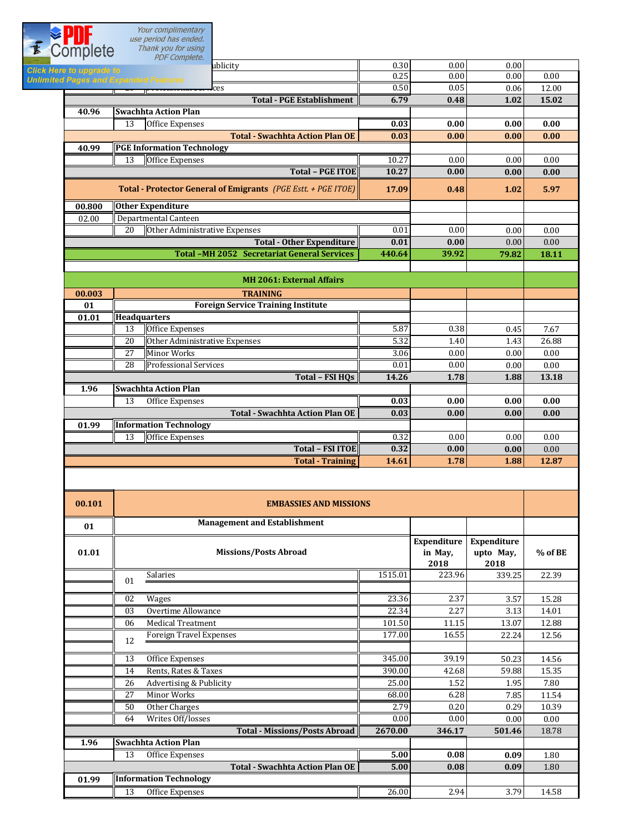Your complimentary<br>use period has ended.<br>Thank you for using

**Click H**<br>Unlimit

| Your complimentary<br>use period has ended.                                       |        |       |       |       |
|-----------------------------------------------------------------------------------|--------|-------|-------|-------|
| $\vec{r}$<br>Thank you for using<br><b>Complete</b><br><b>PDF</b> Complete.       |        |       |       |       |
| ublicity<br><b>Click Here to upgrade to</b>                                       | 0.30   | 0.00  | 0.00  |       |
| <b>Unlimited Pages and Expanded Features</b>                                      | 0.25   | 0.00  | 0.00  | 0.00  |
| $\mathbb{P}$ is the substantial set $\mathbf{r}$ . Ces<br>$\overline{\mathbf{r}}$ | 0.50   | 0.05  | 0.06  | 12.00 |
| <b>Total - PGE Establishment</b>                                                  | 6.79   | 0.48  | 1.02  | 15.02 |
| <b>Swachhta Action Plan</b><br>40.96                                              |        |       |       |       |
| 13<br>Office Expenses                                                             | 0.03   | 0.00  | 0.00  | 0.00  |
| <b>Total - Swachhta Action Plan OE</b>                                            | 0.03   | 0.00  | 0.00  | 0.00  |
| <b>PGE Information Technology</b><br>40.99                                        |        |       |       |       |
| 13<br><b>Office Expenses</b>                                                      | 10.27  | 0.00  | 0.00  | 0.00  |
| <b>Total - PGE ITOE</b>                                                           | 10.27  | 0.00  | 0.00  | 0.00  |
| Total - Protector General of Emigrants (PGE Estt. + PGE ITOE)                     | 17.09  | 0.48  | 1.02  | 5.97  |
| <b>Other Expenditure</b><br>00.800                                                |        |       |       |       |
| Departmental Canteen<br>02.00                                                     |        |       |       |       |
| Other Administrative Expenses<br>20                                               | 0.01   | 0.00  | 0.00  | 0.00  |
| <b>Total - Other Expenditure</b>                                                  | 0.01   | 0.00  | 0.00  | 0.00  |
|                                                                                   |        |       |       |       |
| <b>Total -MH 2052 Secretariat General Services</b>                                | 440.64 | 39.92 | 79.82 | 18.11 |
|                                                                                   |        |       |       |       |
| <b>MH 2061: External Affairs</b>                                                  |        |       |       |       |
| <b>TRAINING</b><br>00.003                                                         |        |       |       |       |
| <b>Foreign Service Training Institute</b><br>01                                   |        |       |       |       |
| <b>Headquarters</b><br>01.01                                                      |        |       |       |       |
| <b>Office Expenses</b><br>13                                                      | 5.87   | 0.38  | 0.45  | 7.67  |
| 20<br>Other Administrative Expenses                                               | 5.32   | 1.40  | 1.43  | 26.88 |
| $\overline{27}$<br><b>Minor Works</b>                                             | 3.06   | 0.00  | 0.00  | 0.00  |
| $\overline{28}$<br><b>Professional Services</b>                                   | 0.01   | 0.00  | 0.00  | 0.00  |
| Total - FSI HQs                                                                   | 14.26  | 1.78  | 1.88  | 13.18 |
| <b>Swachhta Action Plan</b><br>1.96                                               |        |       |       |       |
| 13<br>Office Expenses                                                             | 0.03   | 0.00  | 0.00  | 0.00  |
| <b>Total - Swachhta Action Plan OE</b>                                            | 0.03   | 0.00  | 0.00  | 0.00  |
| <b>Information Technology</b><br>01.99                                            |        |       |       |       |
| <b>Office Expenses</b><br>13                                                      | 0.32   | 0.00  | 0.00  | 0.00  |
| <b>Total - FSI ITOE</b>                                                           | 0.32   | 0.00  | 0.00  | 0.00  |

| 00.101 | <b>EMBASSIES AND MISSIONS</b>          |                                |                                  |         |       |  |
|--------|----------------------------------------|--------------------------------|----------------------------------|---------|-------|--|
| 01     | <b>Management and Establishment</b>    |                                |                                  |         |       |  |
| 01.01  | <b>Missions/Posts Abroad</b>           | Expenditure<br>in May,<br>2018 | Expenditure<br>upto May,<br>2018 | % of BE |       |  |
|        | <b>Salaries</b><br>01                  | 1515.01                        | 223.96                           | 339.25  | 22.39 |  |
|        |                                        |                                |                                  |         |       |  |
|        | 02<br>Wages                            | 23.36                          | 2.37                             | 3.57    | 15.28 |  |
|        | Overtime Allowance<br>03               | 22.34                          | 2.27                             | 3.13    | 14.01 |  |
|        | <b>Medical Treatment</b><br>06         | 101.50                         | 11.15                            | 13.07   | 12.88 |  |
|        | Foreign Travel Expenses<br>12          | 177.00                         | 16.55                            | 22.24   | 12.56 |  |
|        | 13<br>Office Expenses                  | 345.00                         | 39.19                            | 50.23   | 14.56 |  |
|        | Rents, Rates & Taxes<br>14             | 390.00                         | 42.68                            | 59.88   | 15.35 |  |
|        | Advertising & Publicity<br>26          | 25.00                          | 1.52                             | 1.95    | 7.80  |  |
|        | Minor Works<br>27                      | 68.00                          | 6.28                             | 7.85    | 11.54 |  |
|        | Other Charges<br>50                    | 2.79                           | 0.20                             | 0.29    | 10.39 |  |
|        | 0.00<br>Writes Off/losses<br>64        |                                | 0.00                             | 0.00    | 0.00  |  |
|        | <b>Total - Missions/Posts Abroad</b>   | 2670.00                        | 346.17                           | 501.46  | 18.78 |  |
| 1.96   | <b>Swachhta Action Plan</b>            |                                |                                  |         |       |  |
|        | 13<br>Office Expenses                  | 5.00                           | 0.08                             | 0.09    | 1.80  |  |
|        | <b>Total - Swachhta Action Plan OE</b> | 5.00                           | 0.08                             | 0.09    | 1.80  |  |
| 01.99  | <b>Information Technology</b>          |                                |                                  |         |       |  |
|        | 13<br>Office Expenses                  | 26.00                          | 2.94                             | 3.79    | 14.58 |  |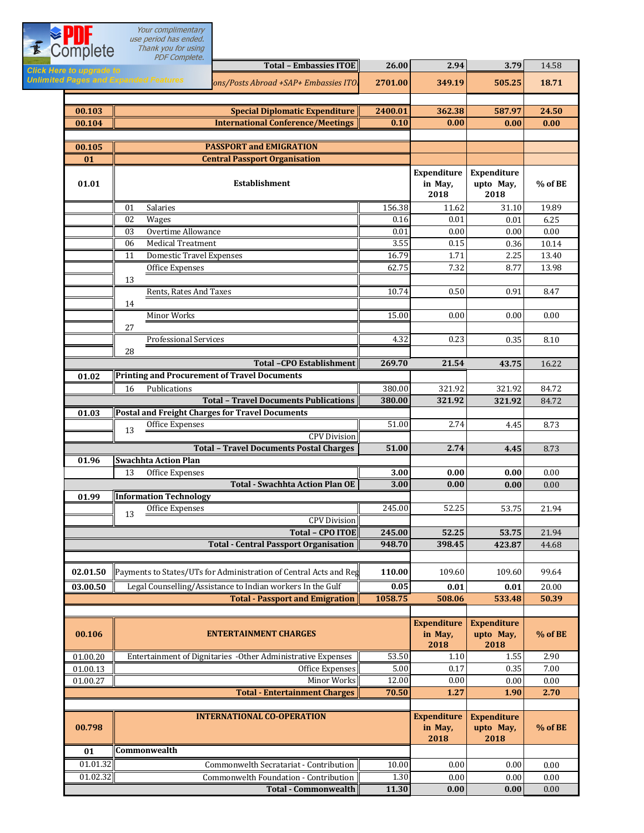|                                              | Your complimentary<br>use period has ended.                             |                |                                       |                                         |                  |
|----------------------------------------------|-------------------------------------------------------------------------|----------------|---------------------------------------|-----------------------------------------|------------------|
| Complete                                     | Thank you for using                                                     |                |                                       |                                         |                  |
| <b>Click Here to upgrade to</b>              | PDF Complete.<br><b>Total - Embassies ITOE</b>                          | 26.00          | 2.94                                  | 3.79                                    | 14.58            |
| <b>Unlimited Pages and Expanded Features</b> | ons/Posts Abroad +SAP+ Embassies ITO.                                   | 2701.00        | 349.19                                | 505.25                                  | 18.71            |
|                                              |                                                                         |                |                                       |                                         |                  |
| 00.103                                       | <b>Special Diplomatic Expenditure</b>                                   | 2400.01        | 362.38                                | 587.97                                  | 24.50            |
| 00.104                                       | <b>International Conference/Meetings</b>                                | 0.10           | 0.00                                  | 0.00                                    | 0.00             |
| 00.105                                       | <b>PASSPORT and EMIGRATION</b>                                          |                |                                       |                                         |                  |
| 01                                           | <b>Central Passport Organisation</b>                                    |                |                                       |                                         |                  |
| 01.01                                        | <b>Establishment</b>                                                    |                | Expenditure<br>in May,<br>2018        | <b>Expenditure</b><br>upto May,<br>2018 | $%$ of BE        |
|                                              | Salaries<br>01                                                          | 156.38         | 11.62                                 | 31.10                                   | 19.89            |
|                                              | 02<br><b>Wages</b><br>Overtime Allowance<br>03                          | 0.16<br>0.01   | 0.01<br>0.00                          | 0.01<br>0.00                            | 6.25<br>0.00     |
|                                              | <b>Medical Treatment</b><br>06                                          | 3.55           | 0.15                                  | 0.36                                    | 10.14            |
|                                              | <b>Domestic Travel Expenses</b><br>11                                   | 16.79          | 1.71                                  | 2.25                                    | 13.40            |
|                                              | Office Expenses                                                         | 62.75          | 7.32                                  | 8.77                                    | 13.98            |
|                                              | 13                                                                      |                |                                       |                                         |                  |
|                                              | Rents, Rates And Taxes<br>14                                            | 10.74          | 0.50                                  | 0.91                                    | 8.47             |
|                                              | <b>Minor Works</b>                                                      | 15.00          | 0.00                                  | 0.00                                    | 0.00             |
|                                              | 27                                                                      |                |                                       |                                         |                  |
|                                              | <b>Professional Services</b>                                            | 4.32           | 0.23                                  | 0.35                                    | 8.10             |
|                                              | 28<br><b>Total -CPO Establishment</b>                                   | 269.70         | 21.54                                 | 43.75                                   | 16.22            |
| 01.02                                        | <b>Printing and Procurement of Travel Documents</b>                     |                |                                       |                                         |                  |
|                                              | Publications<br>16                                                      | 380.00         | 321.92                                | 321.92                                  | 84.72            |
|                                              | <b>Total - Travel Documents Publications</b>                            | 380.00         | 321.92                                | 321.92                                  | 84.72            |
| 01.03                                        | Postal and Freight Charges for Travel Documents<br>Office Expenses      | 51.00          | 2.74                                  |                                         | 8.73             |
|                                              | 13<br><b>CPV</b> Division                                               |                |                                       | 4.45                                    |                  |
|                                              | <b>Total - Travel Documents Postal Charges</b>                          | 51.00          | 2.74                                  | 4.45                                    | 8.73             |
| 01.96                                        | <b>Swachhta Action Plan</b>                                             |                |                                       |                                         |                  |
|                                              | 13 Office Expenses                                                      | 3.00<br>3.00   | $\boldsymbol{0.00}$<br>0.00           | $\boldsymbol{0.00}$<br>0.00             | $0.00\,$         |
| 01.99                                        | <b>Total - Swachhta Action Plan OE</b><br><b>Information Technology</b> |                |                                       |                                         | 0.00             |
|                                              | Office Expenses                                                         | 245.00         | 52.25                                 | 53.75                                   | 21.94            |
|                                              | 13<br><b>CPV</b> Division                                               |                |                                       |                                         |                  |
|                                              | <b>Total - CPO ITOE</b>                                                 | 245.00         | 52.25                                 | 53.75                                   | 21.94            |
|                                              | <b>Total - Central Passport Organisation</b>                            | 948.70         | 398.45                                | 423.87                                  | 44.68            |
| 02.01.50                                     | Payments to States/UTs for Administration of Central Acts and Reg       | 110.00         | 109.60                                | 109.60                                  | 99.64            |
| 03.00.50                                     | Legal Counselling/Assistance to Indian workers In the Gulf              | 0.05           | 0.01                                  | 0.01                                    | 20.00            |
|                                              | <b>Total - Passport and Emigration</b>                                  | 1058.75        | 508.06                                | 533.48                                  | 50.39            |
|                                              |                                                                         |                |                                       |                                         |                  |
| 00.106                                       | <b>ENTERTAINMENT CHARGES</b>                                            |                | <b>Expenditure</b><br>in May,<br>2018 | <b>Expenditure</b><br>upto May,<br>2018 | % of BE          |
| 01.00.20                                     | Entertainment of Dignitaries -Other Administrative Expenses             | 53.50          | 1.10                                  | 1.55                                    | 2.90             |
| 01.00.13                                     | Office Expenses<br>Minor Works                                          | 5.00           | 0.17<br>0.00                          | 0.35<br>0.00                            | 7.00<br>$0.00\,$ |
| 01.00.27                                     | <b>Total - Entertainment Charges</b>                                    | 12.00<br>70.50 | 1.27                                  | 1.90                                    | 2.70             |
|                                              |                                                                         |                |                                       |                                         |                  |
| 00.798<br>01                                 | <b>INTERNATIONAL CO-OPERATION</b><br>Commonwealth                       |                | <b>Expenditure</b><br>in May,<br>2018 | <b>Expenditure</b><br>upto May,<br>2018 | % of BE          |
| 01.01.32                                     | Commonwelth Secratariat - Contribution                                  | 10.00          | 0.00                                  | 0.00                                    | 0.00             |
| 01.02.32                                     | Commonwelth Foundation - Contribution                                   | 1.30           | 0.00                                  | 0.00                                    | 0.00             |
|                                              | <b>Total - Commonwealth</b>                                             | 11.30          | 0.00                                  | 0.00                                    | 0.00             |
|                                              |                                                                         |                |                                       |                                         |                  |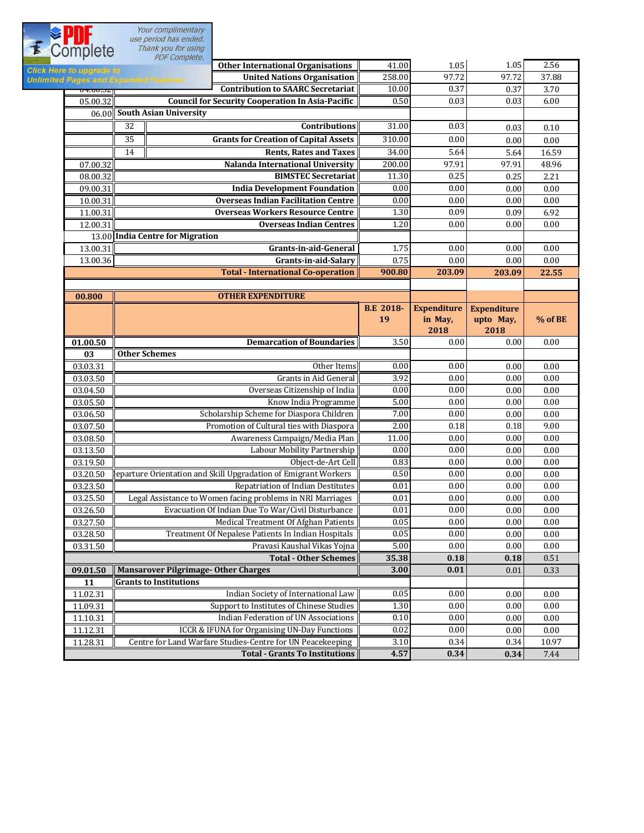Your complimentary use period has ended. Thank you for using

**Complete Other International Organisations**  $\parallel$  41.00  $\parallel$  1.05  $\parallel$  2.56 Click Here to **15.32 16.00.32 258.00 Property Separation Separation (Based Separation 18.52.00)** 97.72 97.72 97.88 **Unlimited P OF-OU-SZACE CONTRIBUTION CONTRIBUTION CONTRIBUTION CONTRIBUTION**  $\begin{bmatrix} 0.37 \\ 0.37 \end{bmatrix}$  0.37 3.70 05.00.32 0.50 0.03 0.03 6.00 **Council for Security Cooperation In Asia-Pacific South Asian University** 06.00 32 **Contributions** 31.00 0.03 0.03 0.10 **Grants for Creation of Capital Assets** 310.00 0.00 0.00 0.00 0.00 14 **Rents, Rates and Taxes** 34.00 5.64 5.64 16.59 07.00.32 200.00 97.91 97.91 48.96  **Nalanda International University** 08.00.32 11.30 0.25 0.25 2.21 **BIMSTEC Secretariat** 09.00.31 0.00 0.00 0.00 0.00 **India Development Foundation** 10.00.31 0.00 0.00 0.00 0.00 **Overseas Indian Facilitation Centre** 11.00.31|**| Overseas Workers Resource Centre** || 1.30| 0.09| 0.09| 6.92 12.00.31 1.20 0.00 0.00 0.00 **Overseas Indian Centres** 13.00 **India Centre for Migration Grants-in-aid-General** 1.75 0.00 0.00 0.00 0.00 0.00 **Grants-in-aid-Salary** 0.75 0.00 0.00 0.00 0.00 0.00  **Total - International Co-operation 900.80 203.09 203.09 22.55 OTHER EXPENDITURE 00.800 B.E 2018- Expenditure Expenditure in May, 19 upto May, % of BE 2018 2018 01.00.50 Demarcation of Boundaries 1**  $\begin{bmatrix} 3.50 \\ 0.00 \end{bmatrix}$  0.00 0.00 0.00 **03 Other Schemes** 03.03.31 0.00 0.00 0.00 0.00 Other Items 03.03.50 Grants in Aid General 3.92 0.00 0.00 0.00 0.00 0.00 03.04.50 0.00 0.00 0.00 0.00 Overseas Citizenship of India 03.05.50 5.00 0.00 0.00 0.00 Know India Programme 03.06.50 7.00 0.00 0.00 0.00 Scholarship Scheme for Diaspora Children 03.07.50  $\parallel$  9.00 Promotion of Cultural ties with Diaspora  $\parallel$  2.00  $\parallel$  0.18 0.18 9.00 03.08.50 11.00 0.00 0.00 0.00 Awareness Campaign/Media Plan 03.13.50 0.00 0.00 0.00 0.00 Labour Mobility Partnership 03.19.50 0.83 0.00 0.00 0.00 Object-de-Art Cell 03.20.50 **Peparture Orientation and Skill Upgradation of Emigrant Workers**  $\parallel$  0.50 0.00 0.00 0.00 0.00 0.00 03.23.50 0.01 0.00 0.00 0.00 Repatriation of Indian Destitutes 03.25.50 Legal Assistance to Women facing problems in NRI Marriages  $\begin{array}{|l} \hline \end{array}$  0.01  $\begin{array}{|l} \hline \end{array}$  0.00 0.00 0.00 0.00 03.26.50 0.01 0.00 0.00 0.00 Evacuation Of Indian Due To War/Civil Disturbance 03.27.50 0.05 0.00 0.00 0.00 Medical Treatment Of Afghan Patients 03.28.50 0.05 0.00 0.00 0.00 Treatment Of Nepalese Patients In Indian Hospitals 03.31.50 5.00 0.00 0.00 0.00 Pravasi Kaushal Vikas Yojna **35.38 0.18 0.18** 0.51  **Total - Other Schemes09.01.50 3.00 0.01** 0.01 0.33  **Mansarover Pilgrimage- Other Charges Grants to Institutions 11** 11.02.31 0.05 0.00 0.00 0.00 Indian Society of International Law 11.09.31 Support to Institutes of Chinese Studies  $\begin{bmatrix} 1.30 & 0.00 & 0.00 \end{bmatrix}$  0.00 0.00 11.10.31 0.10 0.00 0.00 0.00 Indian Federation of UN Associations 11.12.31 CCR & IFUNA for Organising UN-Day Functions  $\begin{matrix} 0.02 \end{matrix}$  0.00 0.00 0.00 0.00 11.28.31 Centre for Land Warfare Studies-Centre for UN Peacekeeping 3.10 0.34 0.34 0.34 10.97 **Total - Grants To Institutions 4.57 0.34 0.34** 7.44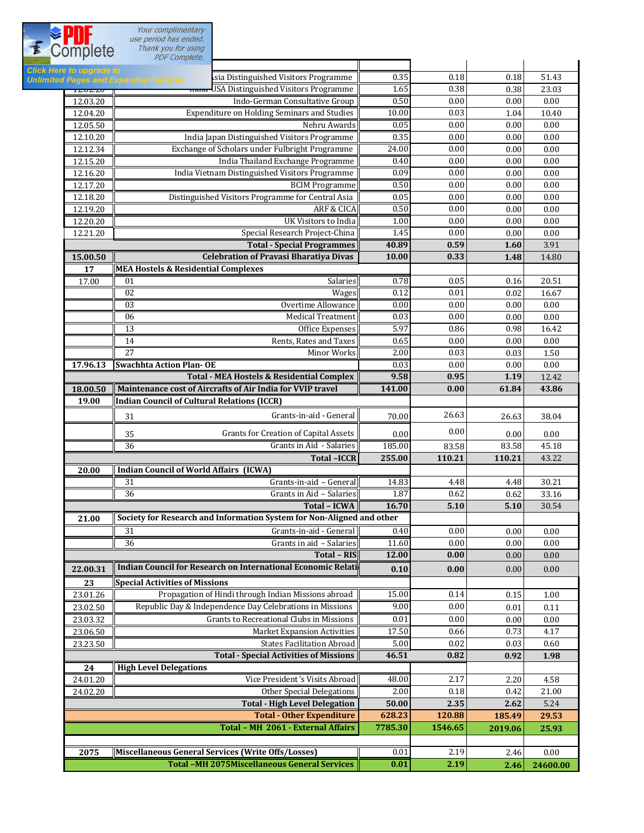Your complimentary<br>use period has ended.<br>Thank you for using

**Click**<br>Unlim

| $     -$           | PDF Complete.                                                                                      |              |              |              |                  |
|--------------------|----------------------------------------------------------------------------------------------------|--------------|--------------|--------------|------------------|
| lere to upgrade to | Isia Distinguished Visitors Programme<br>ted Pages and Expanded Features                           | 0.35         | 0.18         | $0.18\,$     | 51.43            |
| 14.04.40           | mura-USA Distinguished Visitors Programme                                                          | 1.65         | 0.38         | 0.38         | 23.03            |
| 12.03.20           | Indo-German Consultative Group                                                                     | 0.50         | 0.00         | 0.00         | 0.00             |
| 12.04.20           | <b>Expenditure on Holding Seminars and Studies</b>                                                 | 10.00        | 0.03         | 1.04         | 10.40            |
| 12.05.50           | Nehru Awards                                                                                       | 0.05         | 0.00         | 0.00         | 0.00             |
| 12.10.20           | India Japan Distinguished Visitors Programme                                                       | 0.35         | 0.00         | $0.00\,$     | 0.00             |
| 12.12.34           | Exchange of Scholars under Fulbright Programme                                                     | 24.00        | 0.00         | 0.00         | 0.00             |
| 12.15.20           | India Thailand Exchange Programme                                                                  | 0.40         | 0.00         | 0.00         | 0.00             |
| 12.16.20           | India Vietnam Distinguished Visitors Programme                                                     | 0.09         | 0.00         | $0.00\,$     | 0.00             |
| 12.17.20           | <b>BCIM Programme</b>                                                                              | 0.50         | 0.00         | 0.00         | 0.00             |
| 12.18.20           | Distinguished Visitors Programme for Central Asia                                                  | 0.05         | 0.00         | 0.00         | 0.00             |
| 12.19.20           | <b>ARF &amp; CICA</b>                                                                              | 0.50         | 0.00         | 0.00         | 0.00             |
| 12.20.20           | <b>UK Visitors to India</b>                                                                        | 1.00         | 0.00         | 0.00         | 0.00             |
| 12.21.20           | Special Research Project-China                                                                     | 1.45         | 0.00         | 0.00         | 0.00             |
|                    | <b>Total - Special Programmes</b>                                                                  | 40.89        | 0.59         | 1.60         | 3.91             |
| 15.00.50           | <b>Celebration of Pravasi Bharatiya Divas</b>                                                      | 10.00        | 0.33         | 1.48         | 14.80            |
| 17                 | <b>MEA Hostels &amp; Residential Complexes</b>                                                     |              |              |              |                  |
| 17.00              | 01<br>Salaries                                                                                     | 0.78         | 0.05         | $0.16\,$     | 20.51            |
|                    | 02<br>Wages                                                                                        | 0.12         | 0.01         | $0.02\,$     | 16.67            |
|                    | 03<br>Overtime Allowance                                                                           | 0.00         | 0.00         | 0.00         | 0.00             |
|                    | <b>Medical Treatment</b><br>06                                                                     | 0.03         | 0.00         | 0.00         | 0.00             |
|                    | 13<br>Office Expenses                                                                              | 5.97         | 0.86         | 0.98         | 16.42            |
|                    | 14<br>Rents, Rates and Taxes                                                                       | 0.65         | 0.00         | 0.00         | 0.00             |
|                    | 27<br>Minor Works                                                                                  | 2.00         | 0.03         | 0.03         | 1.50             |
| 17.96.13           | <b>Swachhta Action Plan-OE</b>                                                                     | 0.03         | 0.00         | 0.00         | 0.00             |
|                    | <b>Total - MEA Hostels &amp; Residential Complex</b>                                               | 9.58         | 0.95         | 1.19         | 12.42            |
| 18.00.50           | Maintenance cost of Aircrafts of Air India for VVIP travel                                         | 141.00       | 0.00         | 61.84        | 43.86            |
| 19.00              | Indian Council of Cultural Relations (ICCR)                                                        |              |              |              |                  |
|                    | Grants-in-aid - General<br>31                                                                      | 70.00        | 26.63        | 26.63        | 38.04            |
|                    |                                                                                                    |              | 0.00         |              |                  |
|                    | 35<br>Grants for Creation of Capital Assets                                                        | 0.00         |              | 0.00         | 0.00             |
|                    | Grants in Aid - Salaries<br>36                                                                     | 185.00       | 83.58        | 83.58        | 45.18            |
|                    | <b>Total-ICCR</b>                                                                                  | 255.00       | 110.21       | 110.21       | 43.22            |
| 20.00              | <b>Indian Council of World Affairs (ICWA)</b>                                                      |              |              |              |                  |
|                    | Grants-in-aid - General<br>31                                                                      | 14.83        | 4.48         | 4.48         | 30.21            |
|                    | 36<br>Grants in Aid - Salaries                                                                     | 1.87         | 0.62         | 0.62         | 33.16            |
|                    | <b>Total - ICWA</b>                                                                                | 16.70        | 5.10         | 5.10         | 30.54            |
| 21.00              | Society for Research and Information System for Non-Aligned and other                              |              |              |              |                  |
|                    | 31<br>Grants-in-aid - General                                                                      | 0.40         | 0.00         | 0.00         | 0.00             |
|                    | 36<br>Grants in aid - Salaries                                                                     | 11.60        | 0.00         | 0.00         | 0.00             |
|                    | <b>Total - RIS</b><br><b>Indian Council for Research on International Economic Relati</b>          | 12.00        | 0.00         | $0.00\,$     | 0.00             |
| 22.00.31           |                                                                                                    | 0.10         | 0.00         | 0.00         | 0.00             |
| 23                 | <b>Special Activities of Missions</b>                                                              |              |              |              |                  |
| 23.01.26           | Propagation of Hindi through Indian Missions abroad                                                | 15.00        | 0.14         | 0.15         | 1.00             |
| 23.02.50           | Republic Day & Independence Day Celebrations in Missions                                           | 9.00         | 0.00         | 0.01         | 0.11             |
| 23.03.32           | Grants to Recreational Clubs in Missions                                                           | 0.01         | $0.00\,$     | 0.00         | 0.00             |
| 23.06.50           | <b>Market Expansion Activities</b>                                                                 | 17.50        | 0.66         | 0.73         | 4.17             |
| 23.23.50           | <b>States Facilitation Abroad</b>                                                                  | 5.00         | 0.02         | 0.03         | 0.60             |
|                    | <b>Total - Special Activities of Missions</b>                                                      | 46.51        | 0.82         | 0.92         | 1.98             |
| 24                 | <b>High Level Delegations</b>                                                                      |              |              |              |                  |
| 24.01.20           | Vice President's Visits Abroad                                                                     | 48.00        | 2.17         | 2.20         | 4.58             |
| 24.02.20           | <b>Other Special Delegations</b>                                                                   | 2.00         | 0.18         | 0.42         | 21.00            |
|                    | <b>Total - High Level Delegation</b>                                                               | 50.00        | 2.35         | 2.62         | 5.24             |
|                    | <b>Total - Other Expenditure</b>                                                                   | 628.23       | 120.88       | 185.49       | 29.53            |
|                    | Total - MH 2061 - External Affairs                                                                 | 7785.30      | 1546.65      | 2019.06      | 25.93            |
|                    |                                                                                                    |              |              |              |                  |
|                    |                                                                                                    |              |              |              |                  |
| 2075               | Miscellaneous General Services (Write Offs/Losses)<br>Total -MH 2075Miscellaneous General Services | 0.01<br>0.01 | 2.19<br>2.19 | 2.46<br>2.46 | 0.00<br>24600.00 |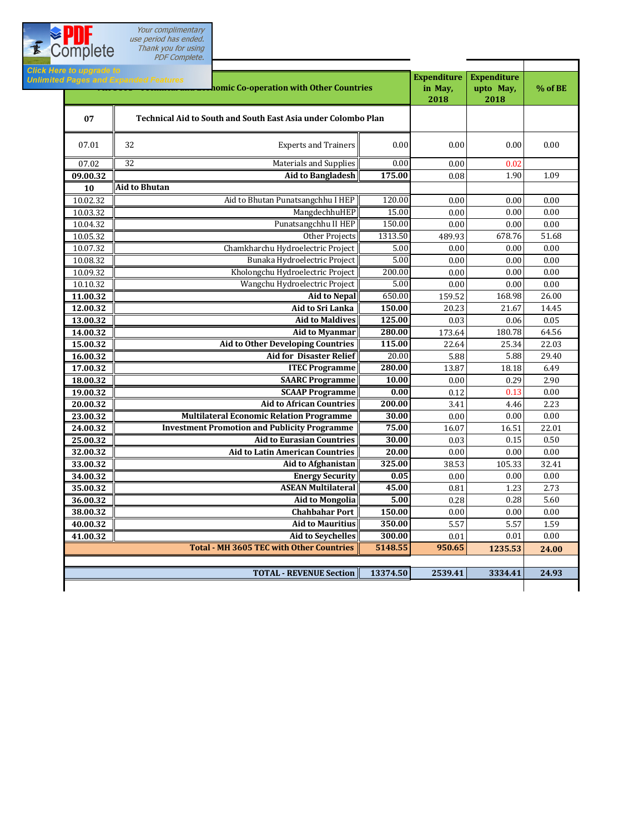Your complimentary use period has ended. Thank you for using PDF Complete.

Complete

Click Here to ur **Expenditure Expenditure Milmited Pages and Expanded Features**<br> **Milmited Pages and Expanded Features**<br> **Co-operation with Other Countries in May, upto May, % of BE 2018 2018 07 Technical Aid to South and South East Asia under Colombo Plan** 07.01 32 **Experts and Trainers** 0.00 0.00 0.00 0.00 0.00 0.00  $\begin{array}{|c|c|c|c|c|c|c|c|c|} \hline 07.02 & 32 & \multicolumn{1}{c|}{\textbf{32}} & 0.02 & 0.02 & 0.02 \hline \end{array}$ **09.00.32 175.00** 0.08 1.90 1.09 **Aid to Bangladesh Aid to Bhutan 10** 10.02.32 120.00 0.00 0.00 0.00 Aid to Bhutan Punatsangchhu I HEP 10.03.32 15.00 0.00 0.00 0.00 MangdechhuHEP 10.04.32 150.00 0.00 0.00 0.00 Punatsangchhu II HEP Other Projects 10.05.32 **1313.50** 1313.50 **489.93** 678.76 51.68 10.07.32 5.00 0.00 0.00 0.00 Chamkharchu Hydroelectric Project 10.08.32 5.00 0.00 0.00 0.00 Bunaka Hydroelectric Project 10.09.32 200.00 0.00 0.00 0.00 Kholongchu Hydroelectric Project 10.10.32 5.00 0.00 0.00 0.00 Wangchu Hydroelectric Project **Aid to Nepal 11.00.32** 650.00 **11.00.32** 168.98 26.00 **12.00.32 150.00** 20.23 21.67 14.45 **Aid to Sri Lanka 13.00.32 125.00** 0.03 0.06 0.05  **Aid to Maldives 14.00.32** | 280.00 | 280.00 | 280.00 | 280.00 | 173.64 | 280.78 | 280.00 | 280.00 | 280.78 | 280.78 | 280.78 | 280 **15.00.32 115.00 115.00 22.64 25.34 22.03 16.00.32** 20.00 5.88 5.88 29.40  **Aid for Disaster Relief 17.00.32** | **280.00 280.00 13.87** 18.18 | **18.18** 18.49 **18.00.32** | **CONSERVIAGE OF A CONSTRANCE Programme** | **10.00** | 0.00 | 0.29 | 2.90 **19.00.32 compare 19.00 compare 19.000 0.12 0.13** 0.00 **0.13 0.00 20.00.32 200.00** 3.41 4.46 2.23 **Aid to African Countries 23.00.32 30.00** 0.00 0.00 0.00 **Multilateral Economic Relation Programme 24.00.32** | Investment Promotion and Publicity Programme | 75.00 | 16.07 | 16.51 | 22.01 **25.00.32 30.00** 0.03 0.15 0.50  **Aid to Eurasian Countries 32.00.32 20.00** 0.00 0.00 0.00 **Aid to Latin American Countries 33.00.32 325.00** 38.53 105.33 32.41 **Aid to Afghanistan 34.00.32 0.05** 0.00 0.00 0.00 **Energy Security 35.00.32 45.00** 0.81 1.23 2.73 **ASEAN Multilateral 36.00.32 5.00** 0.28 0.28 5.60 **Aid to Mongolia 38.00.32 150.00** 0.00 0.00 0.00 **Chahbahar Port 40.00.32 350.00** 5.57 5.57 1.59 **Aid to Mauritius 41.00.32 300.00** 0.01 0.01 0.00 **Aid to Seychelles Total - MH 3605 TEC with Other Countries 5148.55 950.65 1235.53 24.00 TOTAL - REVENUE Section 13374.50 2539.41 3334.41 24.93**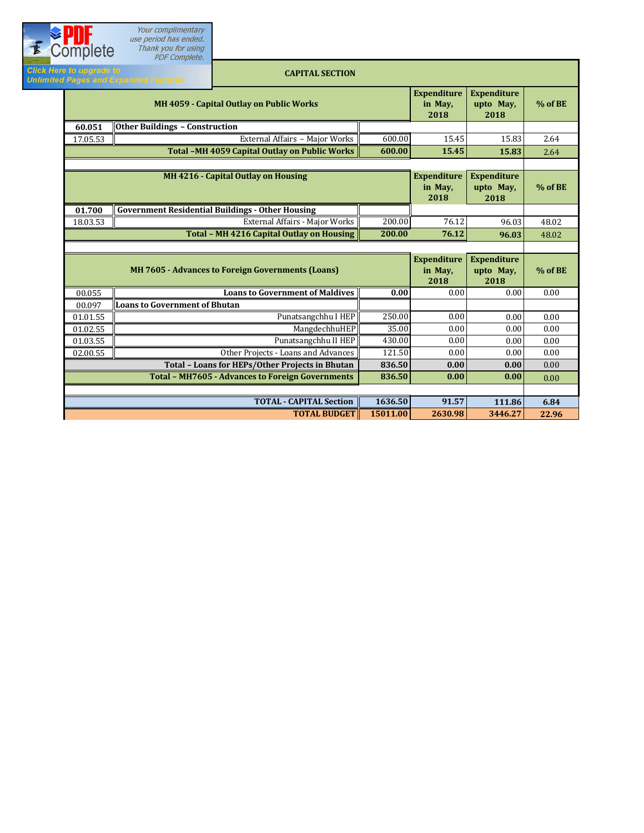| E | Complete                        | use period has ended.<br>Thank you for using<br><b>PDF</b> Complete. |                                                          |                                       |                                         |                                         |         |
|---|---------------------------------|----------------------------------------------------------------------|----------------------------------------------------------|---------------------------------------|-----------------------------------------|-----------------------------------------|---------|
|   | <b>Click Here to upgrade to</b> | <b>Unlimited Pages and Expanded Features</b>                         | <b>CAPITAL SECTION</b>                                   |                                       |                                         |                                         |         |
|   |                                 |                                                                      | MH 4059 - Capital Outlay on Public Works                 |                                       | <b>Expenditure</b><br>in May,<br>2018   | <b>Expenditure</b><br>upto May,<br>2018 | % of BE |
|   | 60.051                          | <b>Other Buildings - Construction</b>                                |                                                          |                                       |                                         |                                         |         |
|   | 17.05.53                        |                                                                      | External Affairs - Major Works                           | 600.00                                | 15.45                                   | 15.83                                   | 2.64    |
|   |                                 |                                                                      | Total -MH 4059 Capital Outlay on Public Works            | 600.00                                | 15.45                                   | 15.83                                   | 2.64    |
|   |                                 |                                                                      |                                                          |                                       |                                         |                                         |         |
|   |                                 | MH 4216 - Capital Outlay on Housing                                  |                                                          | <b>Expenditure</b><br>in May,<br>2018 | <b>Expenditure</b><br>upto May,<br>2018 | $%$ of BE                               |         |
|   | 01.700                          |                                                                      | <b>Government Residential Buildings - Other Housing</b>  |                                       |                                         |                                         |         |
|   | 18.03.53                        |                                                                      | External Affairs - Major Works                           | 200.00                                | 76.12                                   | 96.03                                   | 48.02   |
|   |                                 |                                                                      | <b>Total - MH 4216 Capital Outlay on Housing</b>         | 200.00                                | 76.12                                   | 96.03                                   | 48.02   |
|   |                                 |                                                                      |                                                          |                                       |                                         |                                         |         |
|   |                                 |                                                                      | <b>MH 7605 - Advances to Foreign Governments (Loans)</b> |                                       | <b>Expenditure</b><br>in May,<br>2018   | <b>Expenditure</b><br>upto May,<br>2018 | % of BE |
|   | 00.055                          |                                                                      | <b>Loans to Government of Maldives</b>                   | 0.00                                  | 0.00                                    | 0.00                                    | 0.00    |
|   | 00.097                          | <b>Loans to Government of Bhutan</b>                                 |                                                          |                                       |                                         |                                         |         |
|   | 01.01.55                        |                                                                      | Punatsangchhu I HEP                                      | 250.00                                | 0.00                                    | $0.00\,$                                | 0.00    |
|   | 01.02.55                        |                                                                      | MangdechhuHEP                                            | 35.00                                 | 0.00                                    | 0.00                                    | 0.00    |
|   | 01.03.55                        |                                                                      | Punatsangchhu II HEP                                     | 430.00                                | 0.00                                    | 0.00                                    | 0.00    |
|   | 02.00.55                        |                                                                      | Other Projects - Loans and Advances                      | 121.50                                | 0.00                                    | 0.00                                    | 0.00    |
|   |                                 |                                                                      | <b>Total - Loans for HEPs/Other Projects in Bhutan</b>   | 836.50                                | 0.00                                    | 0.00                                    | 0.00    |
|   |                                 |                                                                      | <b>Total - MH7605 - Advances to Foreign Governments</b>  | 836.50                                | 0.00                                    | 0.00                                    | 0.00    |
|   |                                 |                                                                      |                                                          |                                       |                                         |                                         |         |
|   |                                 |                                                                      |                                                          |                                       |                                         |                                         |         |
|   |                                 |                                                                      | <b>TOTAL - CAPITAL Section</b>                           | 1636.50                               | 91.57                                   | 111.86                                  | 6.84    |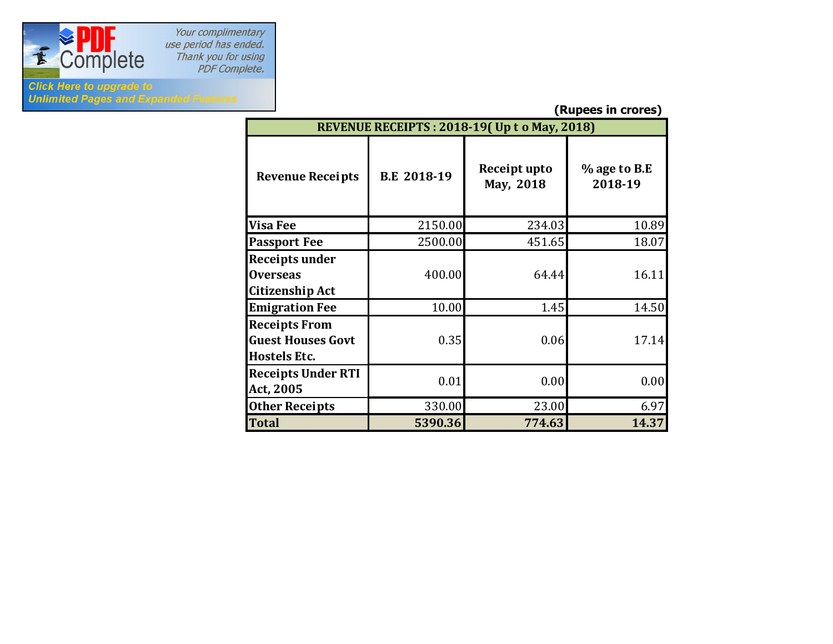

Your complimentary<br>use period has ended. e period has ended?<br>Thank you for using<br>PDF Complete.

## **Click Here to upgrade to Unlimited Pages and Expanded Features**

**(Rupees in crores)**

| ן נעט וט כטטאנין<br>REVENUE RECEIPTS: 2018-19(Up t o May, 2018)         |                    |                           |                         |  |  |  |  |
|-------------------------------------------------------------------------|--------------------|---------------------------|-------------------------|--|--|--|--|
| <b>Revenue Receipts</b>                                                 | <b>B.E 2018-19</b> | Receipt upto<br>May, 2018 | % age to B.E<br>2018-19 |  |  |  |  |
| <b>Visa Fee</b>                                                         | 2150.00            | 234.03                    | 10.89                   |  |  |  |  |
| <b>Passport Fee</b>                                                     | 2500.00            | 451.65                    | 18.07                   |  |  |  |  |
| Receipts under<br><b>Overseas</b><br>Citizenship Act                    | 400.00             | 64.44                     | 16.11                   |  |  |  |  |
| <b>Emigration Fee</b>                                                   | 10.00              | 1.45                      | 14.50                   |  |  |  |  |
| <b>Receipts From</b><br><b>Guest Houses Govt</b><br><b>Hostels Etc.</b> | 0.35               | 0.06                      | 17.14                   |  |  |  |  |
| <b>Receipts Under RTI</b><br>Act, 2005                                  | 0.01               | 0.00                      | 0.00                    |  |  |  |  |
| <b>Other Receipts</b>                                                   | 330.00             | 23.00                     | 6.97                    |  |  |  |  |
| <b>Total</b>                                                            | 5390.36            | 774.63                    | 14.37                   |  |  |  |  |